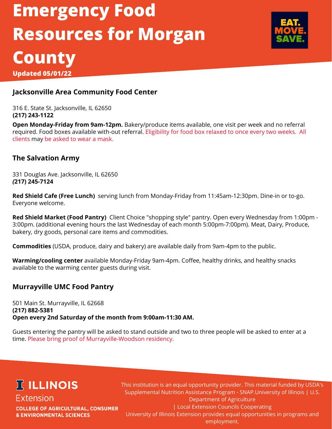# **Emergency Food Resources for Morgan County**



**Updated 05/01/22**

#### **Jacksonville Area Community Food Center**

316 E. State St. Jacksonville, IL 62650 **(217) 243-1122**

**Open Monday-Friday from 9am-12pm.** Bakery/produce items available, one visit per week and no referral required. Food boxes available with-out referral. Eligibility for food box relaxed to once every two weeks. All clients may be asked to wear a mask.

#### **The Salvation Army**

331 Douglas Ave. Jacksonville, IL 62650 *(***217) 245-7124**

**Red Shield Cafe (Free Lunch)** serving lunch from Monday-Friday from 11:45am-12:30pm. Dine-in or to-go. Everyone welcome.

**Red Shield Market (Food Pantry)** Client Choice "shopping style" pantry. Open every Wednesday from 1:00pm - 3:00pm. (additional evening hours the last Wednesday of each month 5:00pm-7:00pm). Meat, Dairy, Produce, bakery, dry goods, personal care items and commodities.

**Commodities** (USDA, produce, dairy and bakery) are available daily from 9am-4pm to the public.

**Warming/cooling center** available Monday-Friday 9am-4pm. Coffee, healthy drinks, and healthy snacks available to the warming center guests during visit.

#### **Murrayville UMC Food Pantry**

501 Main St. Murrayville, IL 62668 **(217) 882-5381 Open every 2nd Saturday of the month from 9:00am-11:30 AM.**

Guests entering the pantry will be asked to stand outside and two to three people will be asked to enter at a time. Please bring proof of Murrayville-Woodson residency.

### **ICLINOIS** Extension

**COLLEGE OF AGRICULTURAL, CONSUMER & ENVIRONMENTAL SCIENCES** 

This institution is an equal opportunity provider. This material funded by USDA's Supplemental Nutrition Assistance Program - SNAP.University of Illinois | U.S. Department of Agriculture | Local Extension Councils Cooperating University of Illinois Extension provides equal opportunities in programs and employment.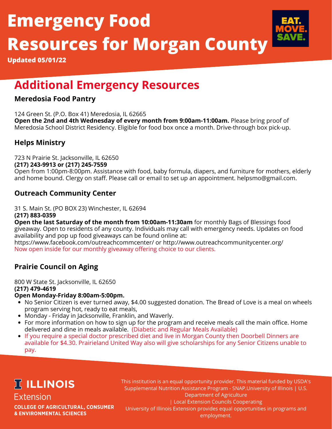# **Emergency Food Resources for Morgan County**



**Updated 05/01/22**

## **Additional Emergency Resources**

#### **Meredosia Food Pantry**

124 Green St. (P.O. Box 41) Meredosia, IL 62665 **Open the 2nd and 4th Wednesday of every month from 9:00am-11:00am.** Please bring proof of Meredosia School District Residency. Eligible for food box once a month. Drive-through box pick-up.

#### **Helps Ministry**

723 N Prairie St. Jacksonville, IL 62650 **(217) 243-9913 or (217) 245-7559** Open from 1:00pm-8:00pm. Assistance with food, baby formula, diapers, and furniture for mothers, elderly and home bound. Clergy on staff. Please call or email to set up an appointment. helpsmo@gmail.com.

#### **Outreach Community Center**

31 S. Main St. (PO BOX 23) Winchester, IL 62694

**(217) 883-0359**

**Open the last Saturday of the month from 10:00am-11:30am** for monthly Bags of Blessings food giveaway. Open to residents of any county. Individuals may call with emergency needs. Updates on food availability and pop up food giveaways can be found online at:

https://www.facebook.com/outreachcommcenter/ or http://www.outreachcommunitycenter.org/ Now open inside for our monthly giveaway offering choice to our clients.

#### **Prairie Council on Aging**

800 W State St. Jacksonville, IL 62650 **(217) 479-4619**

#### **Open Monday-Friday 8:00am-5:00pm.**

- No Senior Citizen is ever turned away, \$4.00 suggested donation. The Bread of Love is a meal on wheels program serving hot, ready to eat meals,
- Monday Friday in Jacksonville, Franklin, and Waverly.
- For more information on how to sign up for the program and receive meals call the main office. Home delivered and dine in meals available. (Diabetic and Regular Meals Available)
- If you require a special doctor prescribed diet and live in Morgan County then Doorbell Dinners are available for \$4.30. Prairieland United Way also will give scholarships for any Senior Citizens unable to pay.

# **IT ILLINOIS**

Extension **COLLEGE OF AGRICULTURAL, CONSUMER & ENVIRONMENTAL SCIENCES** 

This institution is an equal opportunity provider. This material funded by USDA's Supplemental Nutrition Assistance Program - SNAP.University of Illinois | U.S. Department of Agriculture | Local Extension Councils Cooperating University of Illinois Extension provides equal opportunities in programs and

employment.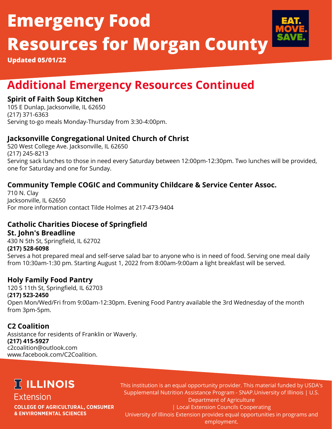# **Emergency Food Resources for Morgan County**



**Updated 05/01/22**

## **Additional Emergency Resources Continued**

#### **Spirit of Faith Soup Kitchen**

105 E Dunlap, Jacksonville, IL 62650 (217) 371-6363 Serving to-go meals Monday-Thursday from 3:30-4:00pm.

#### **Jacksonville Congregational United Church of Christ**

520 West College Ave. Jacksonville, IL 62650 (217) 245-8213 Serving sack lunches to those in need every Saturday between 12:00pm-12:30pm. Two lunches will be provided, one for Saturday and one for Sunday.

#### **Community Temple COGIC and Community Childcare & Service Center Assoc.**

710 N. Clay Jacksonville, IL 62650 For more information contact Tilde Holmes at 217-473-9404

#### **Catholic Charities Diocese of Springfield**

#### **St. John's Breadline**

430 N 5th St, Springfield, IL 62702 **(217) 528-6098** Serves a hot prepared meal and self-serve salad bar to anyone who is in need of food. Serving one meal daily from 10:30am-1:30 pm. Starting August 1, 2022 from 8:00am-9:00am a light breakfast will be served.

#### **Holy Family Food Pantry**

120 S 11th St, Springfield, IL 62703 (**217) 523-2450** Open Mon/Wed/Fri from 9:00am-12:30pm. Evening Food Pantry available the 3rd Wednesday of the month from 3pm-5pm.

#### **C2 Coalition**

Assistance for residents of Franklin or Waverly. **(217) 415-5927** c2coalition@outlook.com www.facebook.com/C2Coalition.

## **IT ILLINOIS**

Extension **COLLEGE OF AGRICULTURAL, CONSUMER & ENVIRONMENTAL SCIENCES** 

This institution is an equal opportunity provider. This material funded by USDA's Supplemental Nutrition Assistance Program - SNAP.University of Illinois | U.S. Department of Agriculture | Local Extension Councils Cooperating University of Illinois Extension provides equal opportunities in programs and employment.